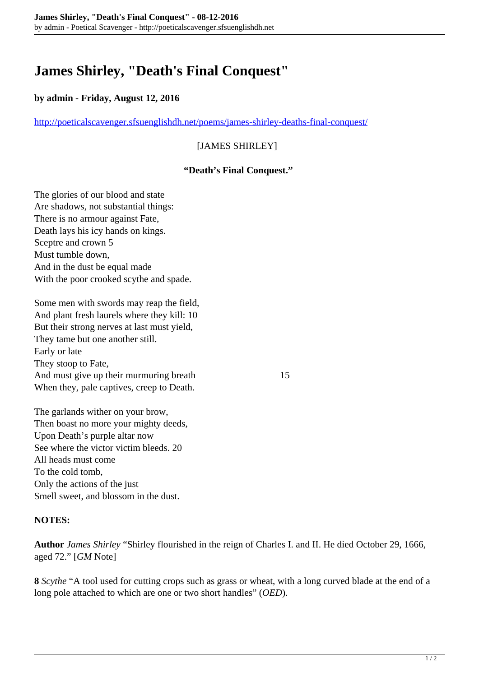# **James Shirley, "Death's Final Conquest"**

## **by admin - Friday, August 12, 2016**

<http://poeticalscavenger.sfsuenglishdh.net/poems/james-shirley-deaths-final-conquest/>

## [JAMES SHIRLEY]

### **"Death's Final Conquest."**

The glories of our blood and state Are shadows, not substantial things: There is no armour against Fate, Death lays his icy hands on kings. Sceptre and crown 5 Must tumble down, And in the dust be equal made With the poor crooked scythe and spade.

Some men with swords may reap the field, And plant fresh laurels where they kill: 10 But their strong nerves at last must yield, They tame but one another still. Early or late They stoop to Fate, And must give up their murmuring breath 15 When they, pale captives, creep to Death.

The garlands wither on your brow, Then boast no more your mighty deeds, Upon Death's purple altar now See where the victor victim bleeds. 20 All heads must come To the cold tomb, Only the actions of the just Smell sweet, and blossom in the dust.

### **NOTES:**

**Author** *James Shirley* "Shirley flourished in the reign of Charles I. and II. He died October 29, 1666, aged 72." [*GM* Note]

**8** *Scythe* "A tool used for cutting crops such as grass or wheat, with a long curved blade at the end of a long pole attached to which are one or two short handles" (*OED*).